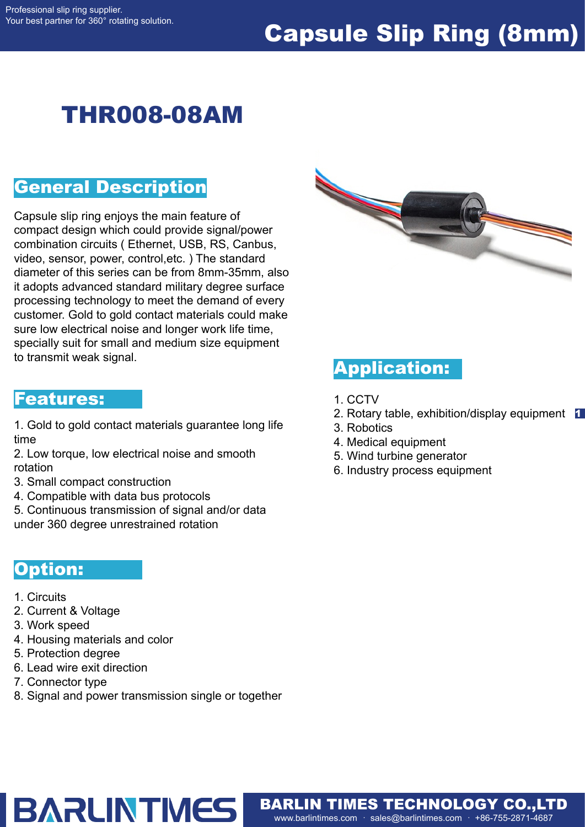# Capsule Slip Ring (8mm)

# THR008-08AM

#### General Description

Capsule slip ring enjoys the main feature of compact design which could provide signal/power combination circuits ( Ethernet, USB, RS, Canbus, video, sensor, power, control,etc. ) The standard diameter of this series can be from 8mm-35mm, also it adopts advanced standard military degree surface processing technology to meet the demand of every customer. Gold to gold contact materials could make sure low electrical noise and longer work life time, specially suit for small and medium size equipment to transmit weak signal.

#### Features:

1. Gold to gold contact materials guarantee long life time

2. Low torque, low electrical noise and smooth rotation

- 3. Small compact construction
- 4. Compatible with data bus protocols
- 5. Continuous transmission of signal and/or data
- under 360 degree unrestrained rotation

#### Option:

- 1. Circuits
- 2. Current & Voltage
- 3. Work speed
- 4. Housing materials and color
- 5. Protection degree
- 6. Lead wire exit direction
- 7. Connector type
- 8. Signal and power transmission single or together

**BARLINTMES** 



### Application:

- 1. CCTV
- 2. Rotary table, exhibition/display equipment 1
- 3. Robotics
- 4. Medical equipment
- 5. Wind turbine generator
- 6. Industry process equipment

www.barlintimes.com · sales@barlintimes.com · +86-755-2871-4687 BARLIN TIMES TECHNOLOGY CO.,LTD